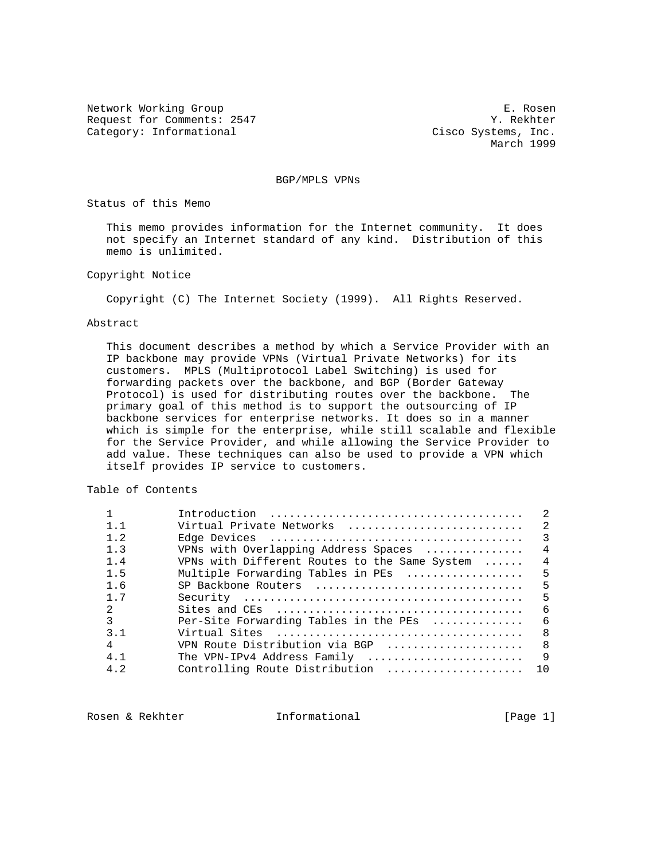Network Working Group **E. Rosen** Request for Comments: 2547 Y. Rekhter Category: Informational Cisco Systems, Inc.

March 1999

BGP/MPLS VPNs

Status of this Memo

 This memo provides information for the Internet community. It does not specify an Internet standard of any kind. Distribution of this memo is unlimited.

Copyright Notice

Copyright (C) The Internet Society (1999). All Rights Reserved.

#### Abstract

 This document describes a method by which a Service Provider with an IP backbone may provide VPNs (Virtual Private Networks) for its customers. MPLS (Multiprotocol Label Switching) is used for forwarding packets over the backbone, and BGP (Border Gateway Protocol) is used for distributing routes over the backbone. The primary goal of this method is to support the outsourcing of IP backbone services for enterprise networks. It does so in a manner which is simple for the enterprise, while still scalable and flexible for the Service Provider, and while allowing the Service Provider to add value. These techniques can also be used to provide a VPN which itself provides IP service to customers.

Table of Contents

|                |                                               | $\mathfrak{D}$ |
|----------------|-----------------------------------------------|----------------|
| $1 \quad 1$    | Virtual Private Networks                      | $\mathcal{L}$  |
| 1.2            |                                               | 3              |
| 1.3            | VPNs with Overlapping Address Spaces          | $\overline{4}$ |
| 1.4            | VPNs with Different Routes to the Same System | $\overline{4}$ |
| 1.5            | Multiple Forwarding Tables in PEs             | 5              |
| 1.6            | SP Backbone Routers                           | 5              |
| 1 <sub>7</sub> |                                               | 5              |
| $2^{\circ}$    |                                               | - 6            |
| $\mathcal{L}$  | Per-Site Forwarding Tables in the PEs         | -6             |
| 3.1            |                                               | 8              |
| $\overline{4}$ | VPN Route Distribution via BGP                | -8             |
| 4.1            | The VPN-IPv4 Address Family                   | $\mathsf{Q}$   |
| 4.2            | Controlling Route Distribution                | 1 O            |
|                |                                               |                |

Rosen & Rekhter **Informational** [Page 1]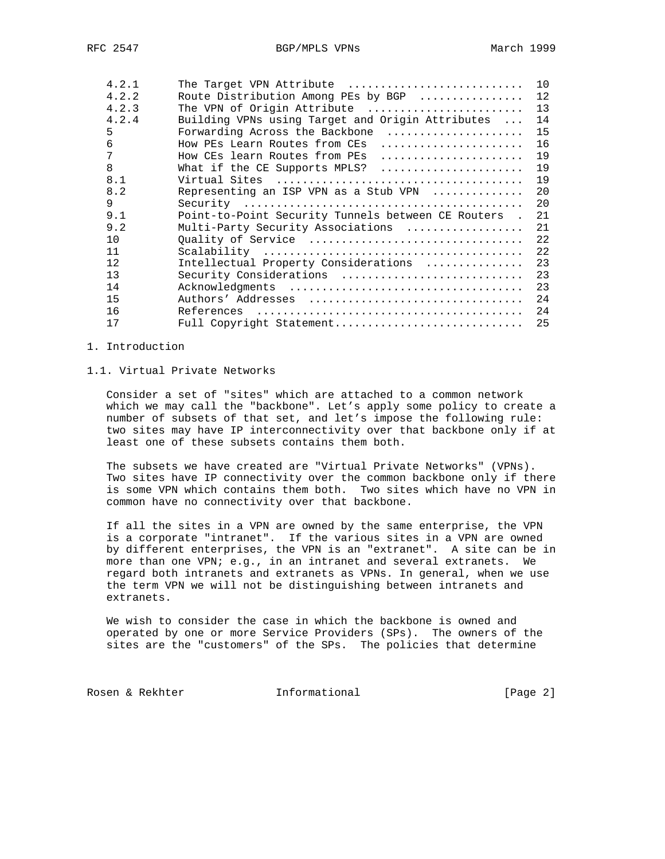| 4.2.1 | The Target VPN Attribute                            | 10 |
|-------|-----------------------------------------------------|----|
| 4.2.2 | Route Distribution Among PEs by BGP                 | 12 |
| 4.2.3 | The VPN of Origin Attribute                         | 13 |
| 4.2.4 | Building VPNs using Target and Origin Attributes    | 14 |
| 5     | Forwarding Across the Backbone                      | 15 |
| 6     | How PEs Learn Routes from CEs                       | 16 |
| 7     | How CEs learn Routes from PEs                       | 19 |
| 8     |                                                     | 19 |
| 8.1   |                                                     | 19 |
| 8.2   | Representing an ISP VPN as a Stub VPN               | 20 |
| 9     |                                                     | 20 |
| 9.1   | Point-to-Point Security Tunnels between CE Routers. | 21 |
| 9.2   | Multi-Party Security Associations                   | 21 |
| 10    | Ouality of Service                                  | 22 |
| 11    |                                                     | 22 |
| 12    | Intellectual Property Considerations                | 23 |
| 13    | Security Considerations                             | 23 |
| 14    |                                                     | 23 |
| 15    |                                                     | 24 |
| 16    |                                                     | 24 |
| 17    | Full Copyright Statement                            | 25 |

## 1. Introduction

### 1.1. Virtual Private Networks

 Consider a set of "sites" which are attached to a common network which we may call the "backbone". Let's apply some policy to create a number of subsets of that set, and let's impose the following rule: two sites may have IP interconnectivity over that backbone only if at least one of these subsets contains them both.

 The subsets we have created are "Virtual Private Networks" (VPNs). Two sites have IP connectivity over the common backbone only if there is some VPN which contains them both. Two sites which have no VPN in common have no connectivity over that backbone.

 If all the sites in a VPN are owned by the same enterprise, the VPN is a corporate "intranet". If the various sites in a VPN are owned by different enterprises, the VPN is an "extranet". A site can be in more than one VPN; e.g., in an intranet and several extranets. We regard both intranets and extranets as VPNs. In general, when we use the term VPN we will not be distinguishing between intranets and extranets.

 We wish to consider the case in which the backbone is owned and operated by one or more Service Providers (SPs). The owners of the sites are the "customers" of the SPs. The policies that determine

Rosen & Rekhter **Informational** [Page 2]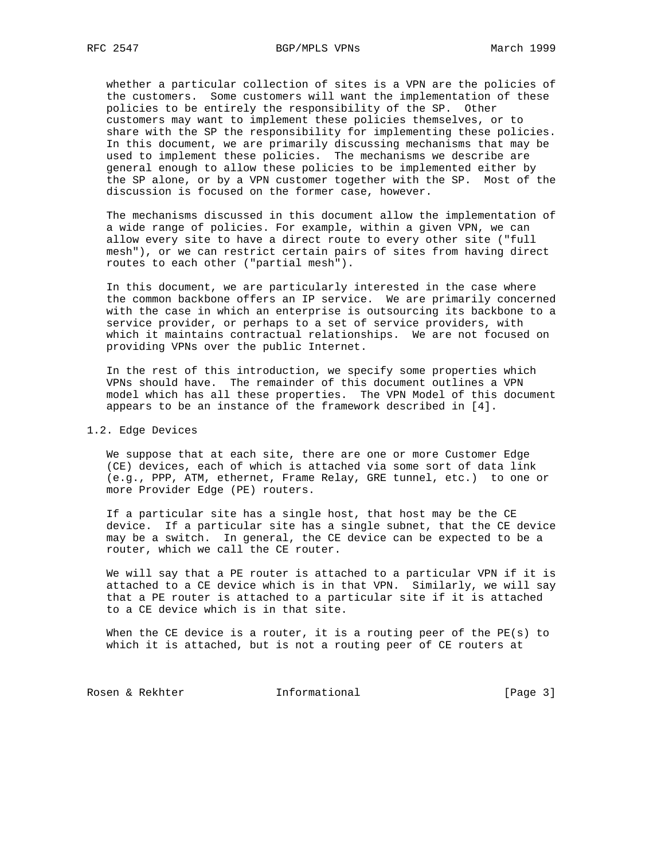whether a particular collection of sites is a VPN are the policies of the customers. Some customers will want the implementation of these policies to be entirely the responsibility of the SP. Other customers may want to implement these policies themselves, or to share with the SP the responsibility for implementing these policies. In this document, we are primarily discussing mechanisms that may be used to implement these policies. The mechanisms we describe are general enough to allow these policies to be implemented either by the SP alone, or by a VPN customer together with the SP. Most of the discussion is focused on the former case, however.

 The mechanisms discussed in this document allow the implementation of a wide range of policies. For example, within a given VPN, we can allow every site to have a direct route to every other site ("full mesh"), or we can restrict certain pairs of sites from having direct routes to each other ("partial mesh").

 In this document, we are particularly interested in the case where the common backbone offers an IP service. We are primarily concerned with the case in which an enterprise is outsourcing its backbone to a service provider, or perhaps to a set of service providers, with which it maintains contractual relationships. We are not focused on providing VPNs over the public Internet.

 In the rest of this introduction, we specify some properties which VPNs should have. The remainder of this document outlines a VPN model which has all these properties. The VPN Model of this document appears to be an instance of the framework described in [4].

### 1.2. Edge Devices

 We suppose that at each site, there are one or more Customer Edge (CE) devices, each of which is attached via some sort of data link (e.g., PPP, ATM, ethernet, Frame Relay, GRE tunnel, etc.) to one or more Provider Edge (PE) routers.

 If a particular site has a single host, that host may be the CE device. If a particular site has a single subnet, that the CE device may be a switch. In general, the CE device can be expected to be a router, which we call the CE router.

 We will say that a PE router is attached to a particular VPN if it is attached to a CE device which is in that VPN. Similarly, we will say that a PE router is attached to a particular site if it is attached to a CE device which is in that site.

 When the CE device is a router, it is a routing peer of the PE(s) to which it is attached, but is not a routing peer of CE routers at

Rosen & Rekhter **Informational** [Page 3]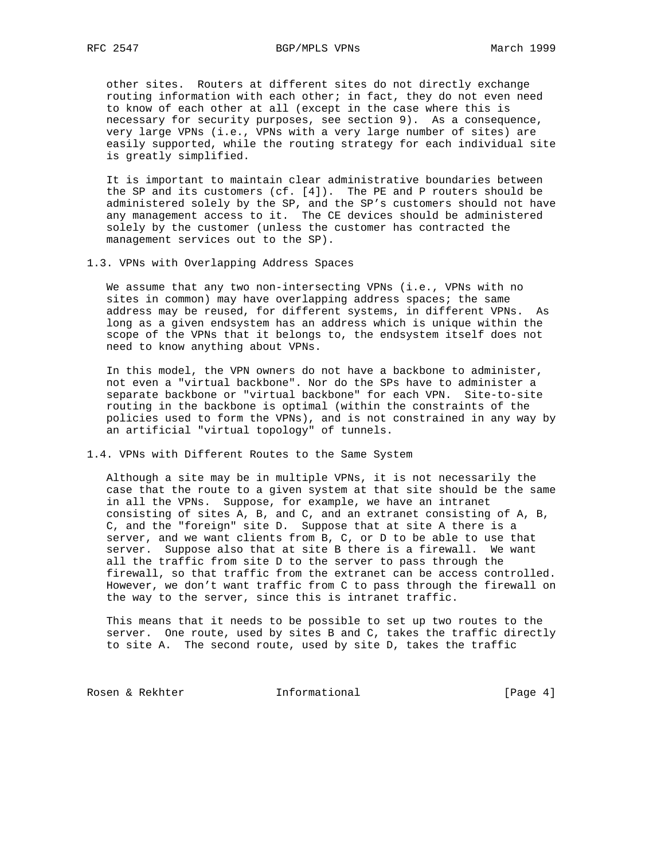other sites. Routers at different sites do not directly exchange routing information with each other; in fact, they do not even need to know of each other at all (except in the case where this is necessary for security purposes, see section 9). As a consequence, very large VPNs (i.e., VPNs with a very large number of sites) are easily supported, while the routing strategy for each individual site is greatly simplified.

 It is important to maintain clear administrative boundaries between the SP and its customers (cf. [4]). The PE and P routers should be administered solely by the SP, and the SP's customers should not have any management access to it. The CE devices should be administered solely by the customer (unless the customer has contracted the management services out to the SP).

1.3. VPNs with Overlapping Address Spaces

We assume that any two non-intersecting VPNs (i.e., VPNs with no sites in common) may have overlapping address spaces; the same address may be reused, for different systems, in different VPNs. As long as a given endsystem has an address which is unique within the scope of the VPNs that it belongs to, the endsystem itself does not need to know anything about VPNs.

 In this model, the VPN owners do not have a backbone to administer, not even a "virtual backbone". Nor do the SPs have to administer a separate backbone or "virtual backbone" for each VPN. Site-to-site routing in the backbone is optimal (within the constraints of the policies used to form the VPNs), and is not constrained in any way by an artificial "virtual topology" of tunnels.

1.4. VPNs with Different Routes to the Same System

 Although a site may be in multiple VPNs, it is not necessarily the case that the route to a given system at that site should be the same in all the VPNs. Suppose, for example, we have an intranet consisting of sites A, B, and C, and an extranet consisting of A, B, C, and the "foreign" site D. Suppose that at site A there is a server, and we want clients from B, C, or D to be able to use that server. Suppose also that at site B there is a firewall. We want all the traffic from site D to the server to pass through the firewall, so that traffic from the extranet can be access controlled. However, we don't want traffic from C to pass through the firewall on the way to the server, since this is intranet traffic.

 This means that it needs to be possible to set up two routes to the server. One route, used by sites B and C, takes the traffic directly to site A. The second route, used by site D, takes the traffic

Rosen & Rekhter **Informational** [Page 4]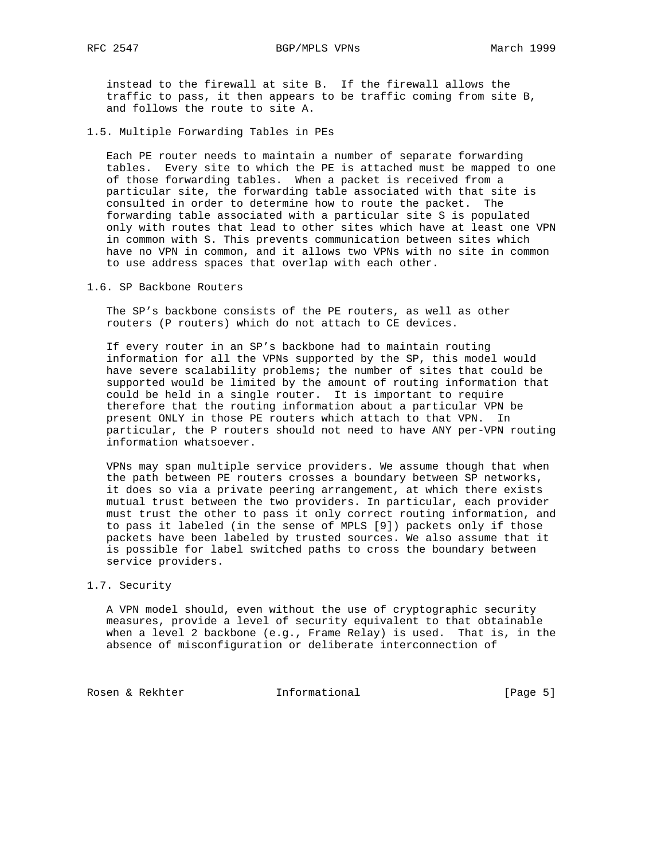instead to the firewall at site B. If the firewall allows the traffic to pass, it then appears to be traffic coming from site B, and follows the route to site A.

1.5. Multiple Forwarding Tables in PEs

 Each PE router needs to maintain a number of separate forwarding tables. Every site to which the PE is attached must be mapped to one of those forwarding tables. When a packet is received from a particular site, the forwarding table associated with that site is consulted in order to determine how to route the packet. The forwarding table associated with a particular site S is populated only with routes that lead to other sites which have at least one VPN in common with S. This prevents communication between sites which have no VPN in common, and it allows two VPNs with no site in common to use address spaces that overlap with each other.

1.6. SP Backbone Routers

 The SP's backbone consists of the PE routers, as well as other routers (P routers) which do not attach to CE devices.

 If every router in an SP's backbone had to maintain routing information for all the VPNs supported by the SP, this model would have severe scalability problems; the number of sites that could be supported would be limited by the amount of routing information that could be held in a single router. It is important to require therefore that the routing information about a particular VPN be present ONLY in those PE routers which attach to that VPN. In particular, the P routers should not need to have ANY per-VPN routing information whatsoever.

 VPNs may span multiple service providers. We assume though that when the path between PE routers crosses a boundary between SP networks, it does so via a private peering arrangement, at which there exists mutual trust between the two providers. In particular, each provider must trust the other to pass it only correct routing information, and to pass it labeled (in the sense of MPLS [9]) packets only if those packets have been labeled by trusted sources. We also assume that it is possible for label switched paths to cross the boundary between service providers.

## 1.7. Security

 A VPN model should, even without the use of cryptographic security measures, provide a level of security equivalent to that obtainable when a level 2 backbone (e.g., Frame Relay) is used. That is, in the absence of misconfiguration or deliberate interconnection of

Rosen & Rekhter **Informational** [Page 5]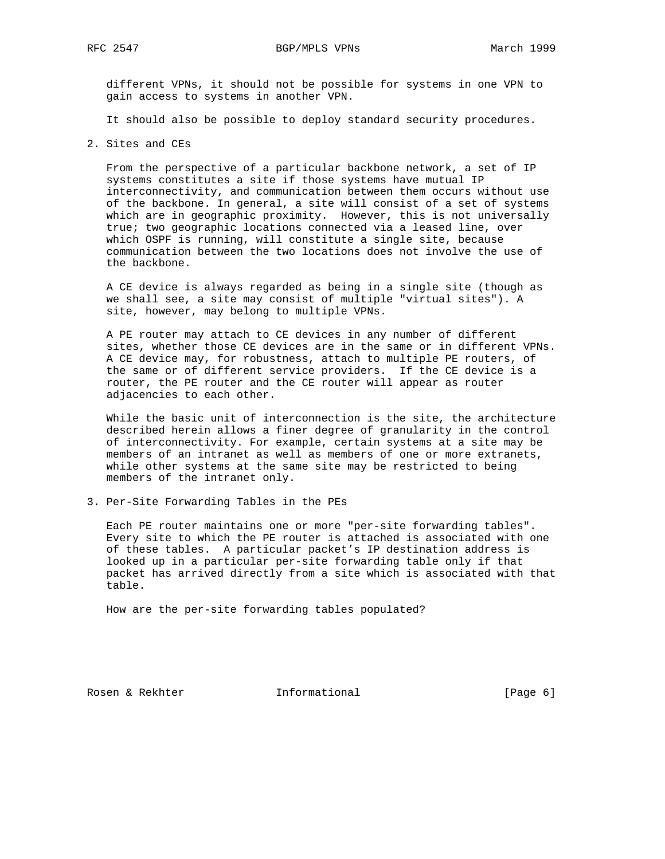different VPNs, it should not be possible for systems in one VPN to gain access to systems in another VPN.

It should also be possible to deploy standard security procedures.

2. Sites and CEs

 From the perspective of a particular backbone network, a set of IP systems constitutes a site if those systems have mutual IP interconnectivity, and communication between them occurs without use of the backbone. In general, a site will consist of a set of systems which are in geographic proximity. However, this is not universally true; two geographic locations connected via a leased line, over which OSPF is running, will constitute a single site, because communication between the two locations does not involve the use of the backbone.

 A CE device is always regarded as being in a single site (though as we shall see, a site may consist of multiple "virtual sites"). A site, however, may belong to multiple VPNs.

 A PE router may attach to CE devices in any number of different sites, whether those CE devices are in the same or in different VPNs. A CE device may, for robustness, attach to multiple PE routers, of the same or of different service providers. If the CE device is a router, the PE router and the CE router will appear as router adjacencies to each other.

 While the basic unit of interconnection is the site, the architecture described herein allows a finer degree of granularity in the control of interconnectivity. For example, certain systems at a site may be members of an intranet as well as members of one or more extranets, while other systems at the same site may be restricted to being members of the intranet only.

3. Per-Site Forwarding Tables in the PEs

 Each PE router maintains one or more "per-site forwarding tables". Every site to which the PE router is attached is associated with one of these tables. A particular packet's IP destination address is looked up in a particular per-site forwarding table only if that packet has arrived directly from a site which is associated with that table.

How are the per-site forwarding tables populated?

Rosen & Rekhter **Informational** [Page 6]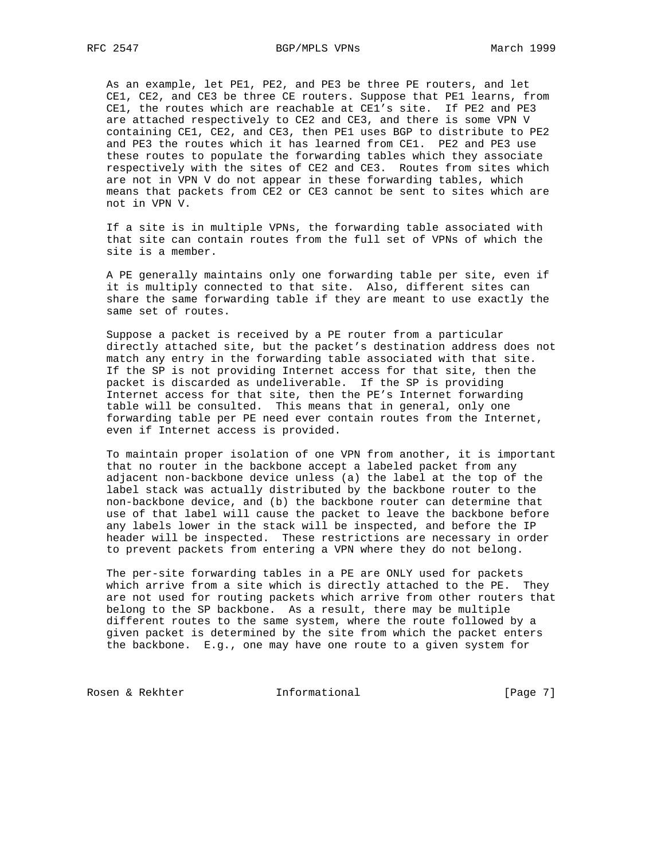As an example, let PE1, PE2, and PE3 be three PE routers, and let CE1, CE2, and CE3 be three CE routers. Suppose that PE1 learns, from CE1, the routes which are reachable at CE1's site. If PE2 and PE3 are attached respectively to CE2 and CE3, and there is some VPN V containing CE1, CE2, and CE3, then PE1 uses BGP to distribute to PE2 and PE3 the routes which it has learned from CE1. PE2 and PE3 use these routes to populate the forwarding tables which they associate respectively with the sites of CE2 and CE3. Routes from sites which are not in VPN V do not appear in these forwarding tables, which means that packets from CE2 or CE3 cannot be sent to sites which are not in VPN V.

 If a site is in multiple VPNs, the forwarding table associated with that site can contain routes from the full set of VPNs of which the site is a member.

 A PE generally maintains only one forwarding table per site, even if it is multiply connected to that site. Also, different sites can share the same forwarding table if they are meant to use exactly the same set of routes.

 Suppose a packet is received by a PE router from a particular directly attached site, but the packet's destination address does not match any entry in the forwarding table associated with that site. If the SP is not providing Internet access for that site, then the packet is discarded as undeliverable. If the SP is providing Internet access for that site, then the PE's Internet forwarding table will be consulted. This means that in general, only one forwarding table per PE need ever contain routes from the Internet, even if Internet access is provided.

 To maintain proper isolation of one VPN from another, it is important that no router in the backbone accept a labeled packet from any adjacent non-backbone device unless (a) the label at the top of the label stack was actually distributed by the backbone router to the non-backbone device, and (b) the backbone router can determine that use of that label will cause the packet to leave the backbone before any labels lower in the stack will be inspected, and before the IP header will be inspected. These restrictions are necessary in order to prevent packets from entering a VPN where they do not belong.

 The per-site forwarding tables in a PE are ONLY used for packets which arrive from a site which is directly attached to the PE. They are not used for routing packets which arrive from other routers that belong to the SP backbone. As a result, there may be multiple different routes to the same system, where the route followed by a given packet is determined by the site from which the packet enters the backbone. E.g., one may have one route to a given system for

Rosen & Rekhter **Informational** [Page 7]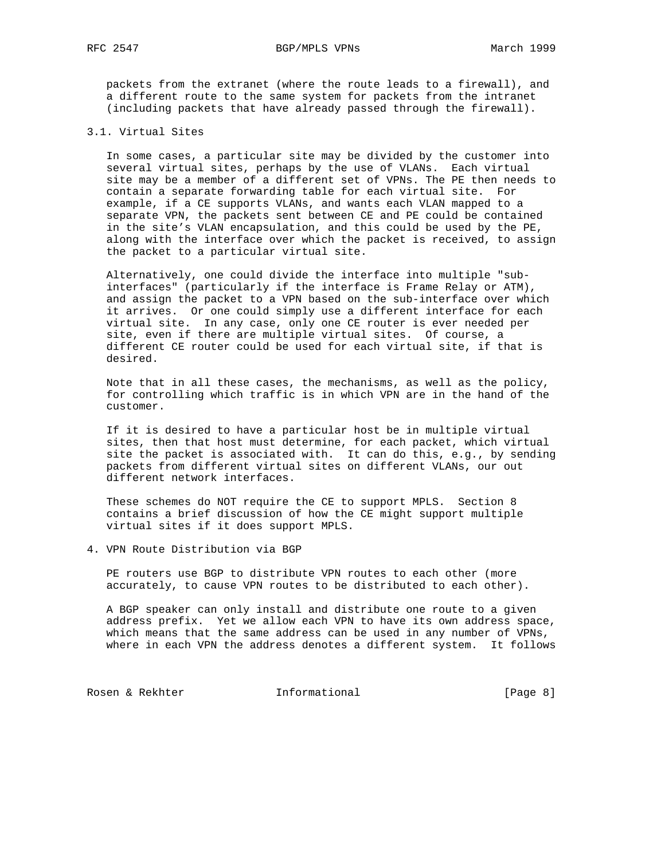packets from the extranet (where the route leads to a firewall), and a different route to the same system for packets from the intranet (including packets that have already passed through the firewall).

#### 3.1. Virtual Sites

 In some cases, a particular site may be divided by the customer into several virtual sites, perhaps by the use of VLANs. Each virtual site may be a member of a different set of VPNs. The PE then needs to contain a separate forwarding table for each virtual site. For example, if a CE supports VLANs, and wants each VLAN mapped to a separate VPN, the packets sent between CE and PE could be contained in the site's VLAN encapsulation, and this could be used by the PE, along with the interface over which the packet is received, to assign the packet to a particular virtual site.

 Alternatively, one could divide the interface into multiple "sub interfaces" (particularly if the interface is Frame Relay or ATM), and assign the packet to a VPN based on the sub-interface over which it arrives. Or one could simply use a different interface for each virtual site. In any case, only one CE router is ever needed per site, even if there are multiple virtual sites. Of course, a different CE router could be used for each virtual site, if that is desired.

 Note that in all these cases, the mechanisms, as well as the policy, for controlling which traffic is in which VPN are in the hand of the customer.

 If it is desired to have a particular host be in multiple virtual sites, then that host must determine, for each packet, which virtual site the packet is associated with. It can do this, e.g., by sending packets from different virtual sites on different VLANs, our out different network interfaces.

 These schemes do NOT require the CE to support MPLS. Section 8 contains a brief discussion of how the CE might support multiple virtual sites if it does support MPLS.

4. VPN Route Distribution via BGP

 PE routers use BGP to distribute VPN routes to each other (more accurately, to cause VPN routes to be distributed to each other).

 A BGP speaker can only install and distribute one route to a given address prefix. Yet we allow each VPN to have its own address space, which means that the same address can be used in any number of VPNs, where in each VPN the address denotes a different system. It follows

Rosen & Rekhter **Informational** [Page 8]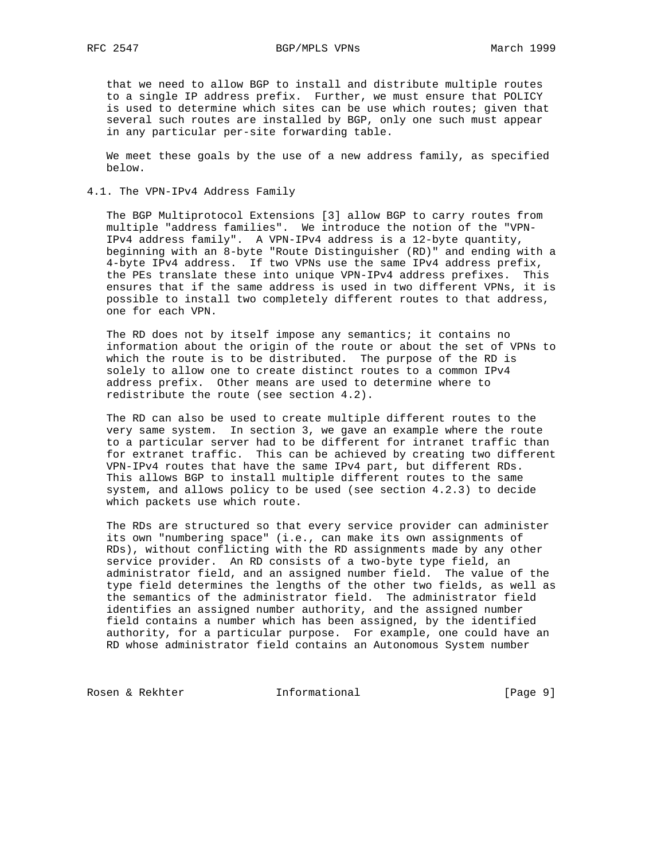that we need to allow BGP to install and distribute multiple routes to a single IP address prefix. Further, we must ensure that POLICY is used to determine which sites can be use which routes; given that several such routes are installed by BGP, only one such must appear in any particular per-site forwarding table.

 We meet these goals by the use of a new address family, as specified below.

4.1. The VPN-IPv4 Address Family

 The BGP Multiprotocol Extensions [3] allow BGP to carry routes from multiple "address families". We introduce the notion of the "VPN- IPv4 address family". A VPN-IPv4 address is a 12-byte quantity, beginning with an 8-byte "Route Distinguisher (RD)" and ending with a 4-byte IPv4 address. If two VPNs use the same IPv4 address prefix, the PEs translate these into unique VPN-IPv4 address prefixes. This ensures that if the same address is used in two different VPNs, it is possible to install two completely different routes to that address, one for each VPN.

The RD does not by itself impose any semantics; it contains no information about the origin of the route or about the set of VPNs to which the route is to be distributed. The purpose of the RD is solely to allow one to create distinct routes to a common IPv4 address prefix. Other means are used to determine where to redistribute the route (see section 4.2).

 The RD can also be used to create multiple different routes to the very same system. In section 3, we gave an example where the route to a particular server had to be different for intranet traffic than for extranet traffic. This can be achieved by creating two different VPN-IPv4 routes that have the same IPv4 part, but different RDs. This allows BGP to install multiple different routes to the same system, and allows policy to be used (see section 4.2.3) to decide which packets use which route.

 The RDs are structured so that every service provider can administer its own "numbering space" (i.e., can make its own assignments of RDs), without conflicting with the RD assignments made by any other service provider. An RD consists of a two-byte type field, an administrator field, and an assigned number field. The value of the type field determines the lengths of the other two fields, as well as the semantics of the administrator field. The administrator field identifies an assigned number authority, and the assigned number field contains a number which has been assigned, by the identified authority, for a particular purpose. For example, one could have an RD whose administrator field contains an Autonomous System number

Rosen & Rekhter **Informational** [Page 9]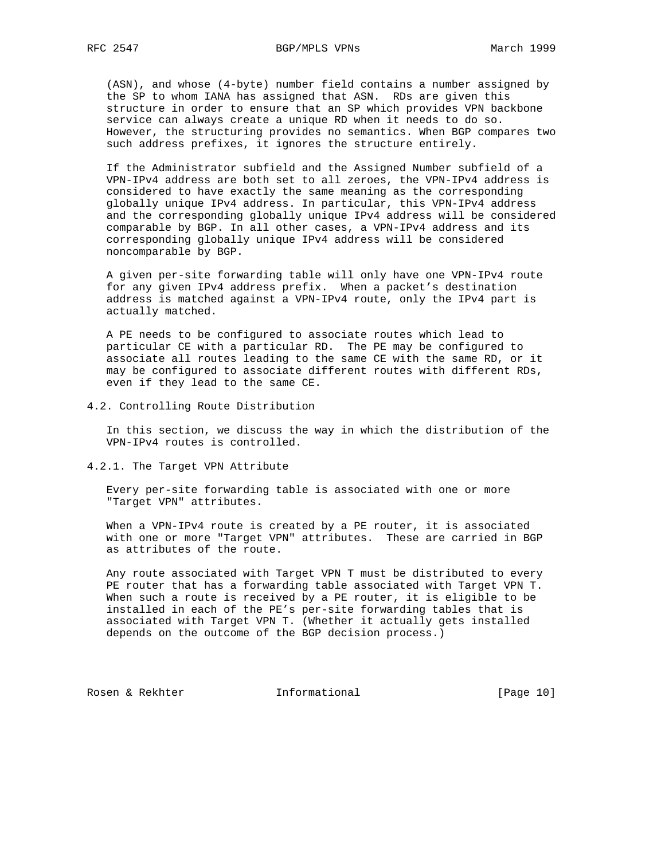(ASN), and whose (4-byte) number field contains a number assigned by the SP to whom IANA has assigned that ASN. RDs are given this structure in order to ensure that an SP which provides VPN backbone service can always create a unique RD when it needs to do so. However, the structuring provides no semantics. When BGP compares two such address prefixes, it ignores the structure entirely.

 If the Administrator subfield and the Assigned Number subfield of a VPN-IPv4 address are both set to all zeroes, the VPN-IPv4 address is considered to have exactly the same meaning as the corresponding globally unique IPv4 address. In particular, this VPN-IPv4 address and the corresponding globally unique IPv4 address will be considered comparable by BGP. In all other cases, a VPN-IPv4 address and its corresponding globally unique IPv4 address will be considered noncomparable by BGP.

 A given per-site forwarding table will only have one VPN-IPv4 route for any given IPv4 address prefix. When a packet's destination address is matched against a VPN-IPv4 route, only the IPv4 part is actually matched.

 A PE needs to be configured to associate routes which lead to particular CE with a particular RD. The PE may be configured to associate all routes leading to the same CE with the same RD, or it may be configured to associate different routes with different RDs, even if they lead to the same CE.

4.2. Controlling Route Distribution

 In this section, we discuss the way in which the distribution of the VPN-IPv4 routes is controlled.

4.2.1. The Target VPN Attribute

 Every per-site forwarding table is associated with one or more "Target VPN" attributes.

 When a VPN-IPv4 route is created by a PE router, it is associated with one or more "Target VPN" attributes. These are carried in BGP as attributes of the route.

 Any route associated with Target VPN T must be distributed to every PE router that has a forwarding table associated with Target VPN T. When such a route is received by a PE router, it is eligible to be installed in each of the PE's per-site forwarding tables that is associated with Target VPN T. (Whether it actually gets installed depends on the outcome of the BGP decision process.)

Rosen & Rekhter **Informational** [Page 10]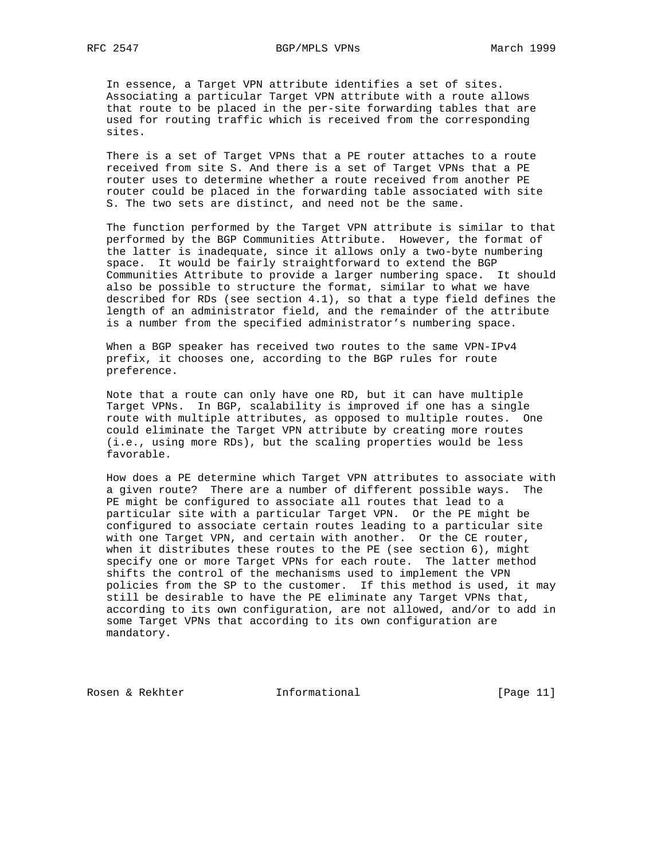In essence, a Target VPN attribute identifies a set of sites. Associating a particular Target VPN attribute with a route allows that route to be placed in the per-site forwarding tables that are used for routing traffic which is received from the corresponding sites.

 There is a set of Target VPNs that a PE router attaches to a route received from site S. And there is a set of Target VPNs that a PE router uses to determine whether a route received from another PE router could be placed in the forwarding table associated with site S. The two sets are distinct, and need not be the same.

 The function performed by the Target VPN attribute is similar to that performed by the BGP Communities Attribute. However, the format of the latter is inadequate, since it allows only a two-byte numbering space. It would be fairly straightforward to extend the BGP Communities Attribute to provide a larger numbering space. It should also be possible to structure the format, similar to what we have described for RDs (see section 4.1), so that a type field defines the length of an administrator field, and the remainder of the attribute is a number from the specified administrator's numbering space.

 When a BGP speaker has received two routes to the same VPN-IPv4 prefix, it chooses one, according to the BGP rules for route preference.

 Note that a route can only have one RD, but it can have multiple Target VPNs. In BGP, scalability is improved if one has a single route with multiple attributes, as opposed to multiple routes. One could eliminate the Target VPN attribute by creating more routes (i.e., using more RDs), but the scaling properties would be less favorable.

 How does a PE determine which Target VPN attributes to associate with a given route? There are a number of different possible ways. The PE might be configured to associate all routes that lead to a particular site with a particular Target VPN. Or the PE might be configured to associate certain routes leading to a particular site with one Target VPN, and certain with another. Or the CE router, when it distributes these routes to the PE (see section 6), might specify one or more Target VPNs for each route. The latter method shifts the control of the mechanisms used to implement the VPN policies from the SP to the customer. If this method is used, it may still be desirable to have the PE eliminate any Target VPNs that, according to its own configuration, are not allowed, and/or to add in some Target VPNs that according to its own configuration are mandatory.

Rosen & Rekhter **Informational** [Page 11]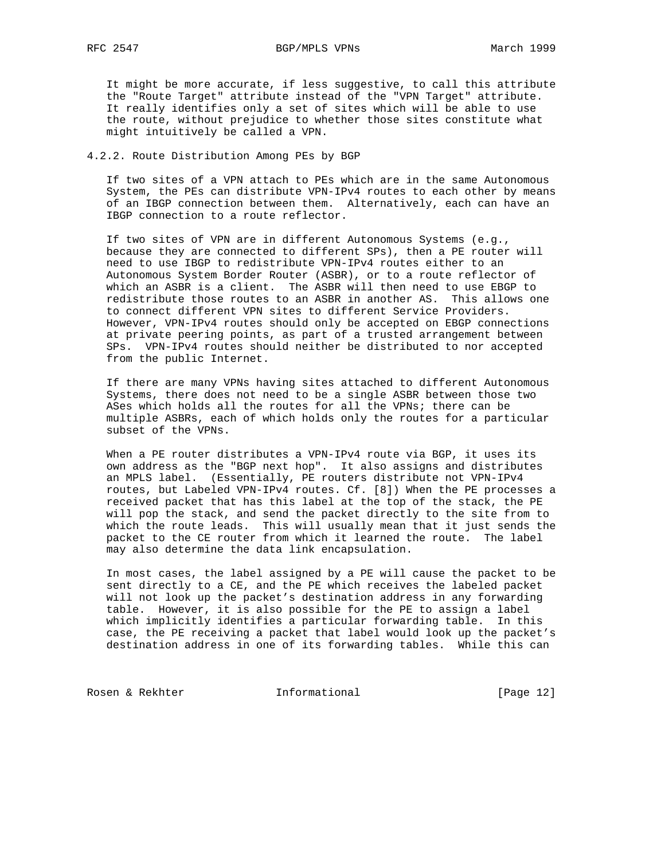It might be more accurate, if less suggestive, to call this attribute the "Route Target" attribute instead of the "VPN Target" attribute. It really identifies only a set of sites which will be able to use the route, without prejudice to whether those sites constitute what might intuitively be called a VPN.

#### 4.2.2. Route Distribution Among PEs by BGP

 If two sites of a VPN attach to PEs which are in the same Autonomous System, the PEs can distribute VPN-IPv4 routes to each other by means of an IBGP connection between them. Alternatively, each can have an IBGP connection to a route reflector.

 If two sites of VPN are in different Autonomous Systems (e.g., because they are connected to different SPs), then a PE router will need to use IBGP to redistribute VPN-IPv4 routes either to an Autonomous System Border Router (ASBR), or to a route reflector of which an ASBR is a client. The ASBR will then need to use EBGP to redistribute those routes to an ASBR in another AS. This allows one to connect different VPN sites to different Service Providers. However, VPN-IPv4 routes should only be accepted on EBGP connections at private peering points, as part of a trusted arrangement between SPs. VPN-IPv4 routes should neither be distributed to nor accepted from the public Internet.

 If there are many VPNs having sites attached to different Autonomous Systems, there does not need to be a single ASBR between those two ASes which holds all the routes for all the VPNs; there can be multiple ASBRs, each of which holds only the routes for a particular subset of the VPNs.

 When a PE router distributes a VPN-IPv4 route via BGP, it uses its own address as the "BGP next hop". It also assigns and distributes an MPLS label. (Essentially, PE routers distribute not VPN-IPv4 routes, but Labeled VPN-IPv4 routes. Cf. [8]) When the PE processes a received packet that has this label at the top of the stack, the PE will pop the stack, and send the packet directly to the site from to which the route leads. This will usually mean that it just sends the packet to the CE router from which it learned the route. The label may also determine the data link encapsulation.

 In most cases, the label assigned by a PE will cause the packet to be sent directly to a CE, and the PE which receives the labeled packet will not look up the packet's destination address in any forwarding table. However, it is also possible for the PE to assign a label which implicitly identifies a particular forwarding table. In this case, the PE receiving a packet that label would look up the packet's destination address in one of its forwarding tables. While this can

Rosen & Rekhter **Informational** [Page 12]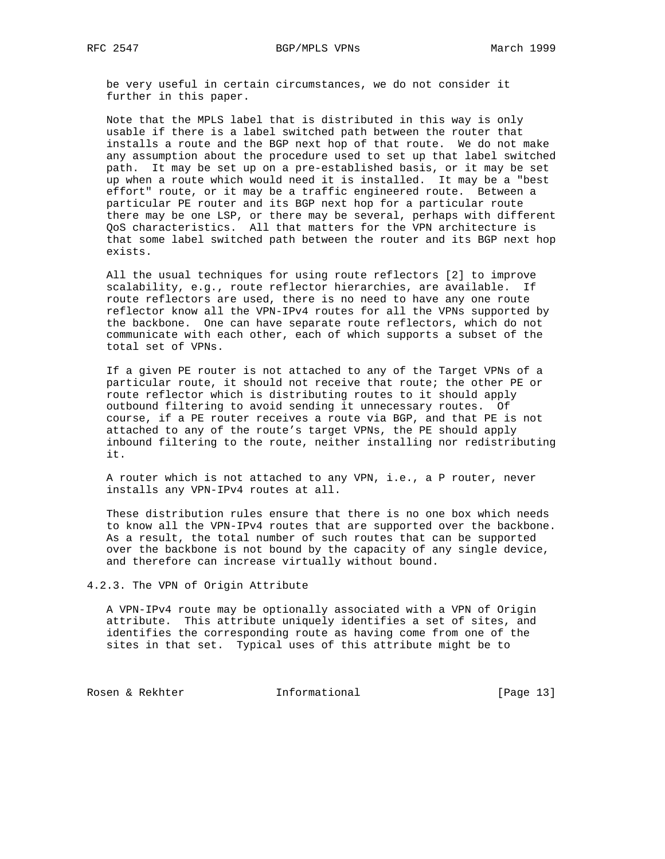be very useful in certain circumstances, we do not consider it further in this paper.

 Note that the MPLS label that is distributed in this way is only usable if there is a label switched path between the router that installs a route and the BGP next hop of that route. We do not make any assumption about the procedure used to set up that label switched path. It may be set up on a pre-established basis, or it may be set up when a route which would need it is installed. It may be a "best effort" route, or it may be a traffic engineered route. Between a particular PE router and its BGP next hop for a particular route there may be one LSP, or there may be several, perhaps with different QoS characteristics. All that matters for the VPN architecture is that some label switched path between the router and its BGP next hop exists.

 All the usual techniques for using route reflectors [2] to improve scalability, e.g., route reflector hierarchies, are available. If route reflectors are used, there is no need to have any one route reflector know all the VPN-IPv4 routes for all the VPNs supported by the backbone. One can have separate route reflectors, which do not communicate with each other, each of which supports a subset of the total set of VPNs.

 If a given PE router is not attached to any of the Target VPNs of a particular route, it should not receive that route; the other PE or route reflector which is distributing routes to it should apply outbound filtering to avoid sending it unnecessary routes. Of course, if a PE router receives a route via BGP, and that PE is not attached to any of the route's target VPNs, the PE should apply inbound filtering to the route, neither installing nor redistributing it.

 A router which is not attached to any VPN, i.e., a P router, never installs any VPN-IPv4 routes at all.

 These distribution rules ensure that there is no one box which needs to know all the VPN-IPv4 routes that are supported over the backbone. As a result, the total number of such routes that can be supported over the backbone is not bound by the capacity of any single device, and therefore can increase virtually without bound.

4.2.3. The VPN of Origin Attribute

 A VPN-IPv4 route may be optionally associated with a VPN of Origin attribute. This attribute uniquely identifies a set of sites, and identifies the corresponding route as having come from one of the sites in that set. Typical uses of this attribute might be to

Rosen & Rekhter **Informational** [Page 13]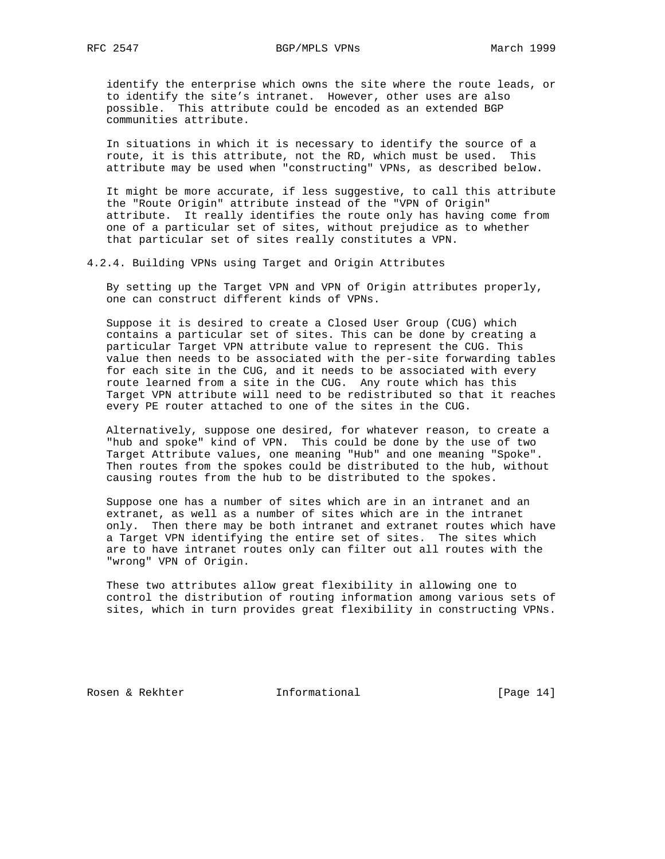RFC 2547 BGP/MPLS VPNs March 1999

 identify the enterprise which owns the site where the route leads, or to identify the site's intranet. However, other uses are also possible. This attribute could be encoded as an extended BGP communities attribute.

 In situations in which it is necessary to identify the source of a route, it is this attribute, not the RD, which must be used. This attribute may be used when "constructing" VPNs, as described below.

 It might be more accurate, if less suggestive, to call this attribute the "Route Origin" attribute instead of the "VPN of Origin" attribute. It really identifies the route only has having come from one of a particular set of sites, without prejudice as to whether that particular set of sites really constitutes a VPN.

4.2.4. Building VPNs using Target and Origin Attributes

 By setting up the Target VPN and VPN of Origin attributes properly, one can construct different kinds of VPNs.

 Suppose it is desired to create a Closed User Group (CUG) which contains a particular set of sites. This can be done by creating a particular Target VPN attribute value to represent the CUG. This value then needs to be associated with the per-site forwarding tables for each site in the CUG, and it needs to be associated with every route learned from a site in the CUG. Any route which has this Target VPN attribute will need to be redistributed so that it reaches every PE router attached to one of the sites in the CUG.

 Alternatively, suppose one desired, for whatever reason, to create a "hub and spoke" kind of VPN. This could be done by the use of two Target Attribute values, one meaning "Hub" and one meaning "Spoke". Then routes from the spokes could be distributed to the hub, without causing routes from the hub to be distributed to the spokes.

 Suppose one has a number of sites which are in an intranet and an extranet, as well as a number of sites which are in the intranet only. Then there may be both intranet and extranet routes which have a Target VPN identifying the entire set of sites. The sites which are to have intranet routes only can filter out all routes with the "wrong" VPN of Origin.

 These two attributes allow great flexibility in allowing one to control the distribution of routing information among various sets of sites, which in turn provides great flexibility in constructing VPNs.

Rosen & Rekhter **Informational** [Page 14]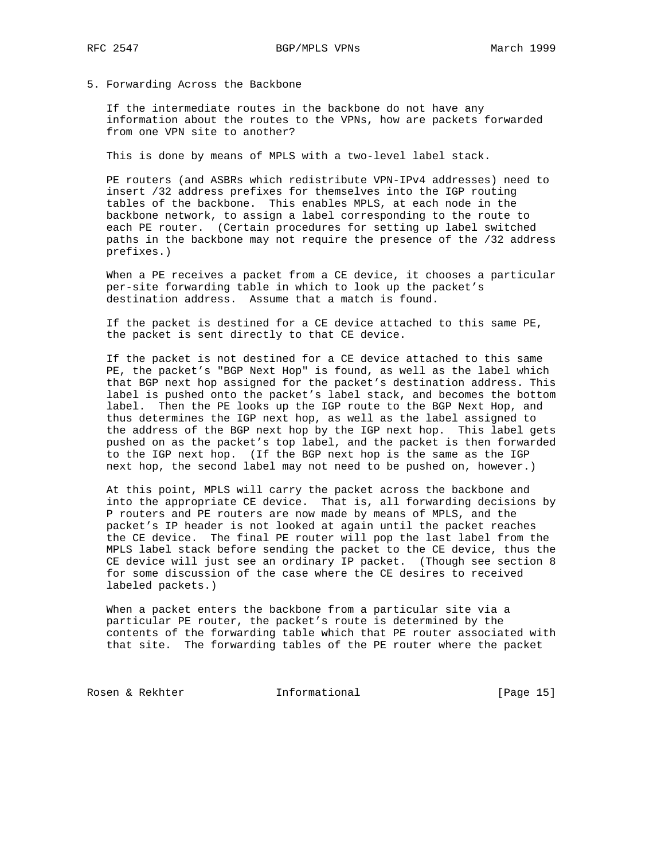5. Forwarding Across the Backbone

 If the intermediate routes in the backbone do not have any information about the routes to the VPNs, how are packets forwarded from one VPN site to another?

This is done by means of MPLS with a two-level label stack.

 PE routers (and ASBRs which redistribute VPN-IPv4 addresses) need to insert /32 address prefixes for themselves into the IGP routing tables of the backbone. This enables MPLS, at each node in the backbone network, to assign a label corresponding to the route to each PE router. (Certain procedures for setting up label switched paths in the backbone may not require the presence of the /32 address prefixes.)

 When a PE receives a packet from a CE device, it chooses a particular per-site forwarding table in which to look up the packet's destination address. Assume that a match is found.

 If the packet is destined for a CE device attached to this same PE, the packet is sent directly to that CE device.

 If the packet is not destined for a CE device attached to this same PE, the packet's "BGP Next Hop" is found, as well as the label which that BGP next hop assigned for the packet's destination address. This label is pushed onto the packet's label stack, and becomes the bottom label. Then the PE looks up the IGP route to the BGP Next Hop, and thus determines the IGP next hop, as well as the label assigned to the address of the BGP next hop by the IGP next hop. This label gets pushed on as the packet's top label, and the packet is then forwarded to the IGP next hop. (If the BGP next hop is the same as the IGP next hop, the second label may not need to be pushed on, however.)

 At this point, MPLS will carry the packet across the backbone and into the appropriate CE device. That is, all forwarding decisions by P routers and PE routers are now made by means of MPLS, and the packet's IP header is not looked at again until the packet reaches the CE device. The final PE router will pop the last label from the MPLS label stack before sending the packet to the CE device, thus the CE device will just see an ordinary IP packet. (Though see section 8 for some discussion of the case where the CE desires to received labeled packets.)

 When a packet enters the backbone from a particular site via a particular PE router, the packet's route is determined by the contents of the forwarding table which that PE router associated with that site. The forwarding tables of the PE router where the packet

Rosen & Rekhter **Informational** [Page 15]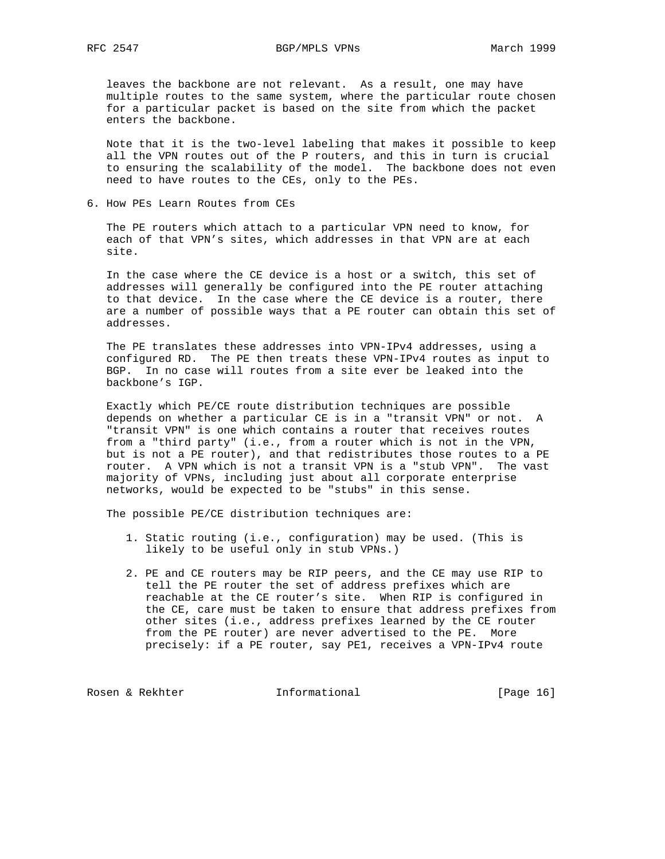leaves the backbone are not relevant. As a result, one may have multiple routes to the same system, where the particular route chosen for a particular packet is based on the site from which the packet enters the backbone.

 Note that it is the two-level labeling that makes it possible to keep all the VPN routes out of the P routers, and this in turn is crucial to ensuring the scalability of the model. The backbone does not even need to have routes to the CEs, only to the PEs.

6. How PEs Learn Routes from CEs

 The PE routers which attach to a particular VPN need to know, for each of that VPN's sites, which addresses in that VPN are at each site.

 In the case where the CE device is a host or a switch, this set of addresses will generally be configured into the PE router attaching to that device. In the case where the CE device is a router, there are a number of possible ways that a PE router can obtain this set of addresses.

 The PE translates these addresses into VPN-IPv4 addresses, using a configured RD. The PE then treats these VPN-IPv4 routes as input to BGP. In no case will routes from a site ever be leaked into the backbone's IGP.

 Exactly which PE/CE route distribution techniques are possible depends on whether a particular CE is in a "transit VPN" or not. A "transit VPN" is one which contains a router that receives routes from a "third party" (i.e., from a router which is not in the VPN, but is not a PE router), and that redistributes those routes to a PE router. A VPN which is not a transit VPN is a "stub VPN". The vast majority of VPNs, including just about all corporate enterprise networks, would be expected to be "stubs" in this sense.

The possible PE/CE distribution techniques are:

- 1. Static routing (i.e., configuration) may be used. (This is likely to be useful only in stub VPNs.)
- 2. PE and CE routers may be RIP peers, and the CE may use RIP to tell the PE router the set of address prefixes which are reachable at the CE router's site. When RIP is configured in the CE, care must be taken to ensure that address prefixes from other sites (i.e., address prefixes learned by the CE router from the PE router) are never advertised to the PE. More precisely: if a PE router, say PE1, receives a VPN-IPv4 route

Rosen & Rekhter **Informational** [Page 16]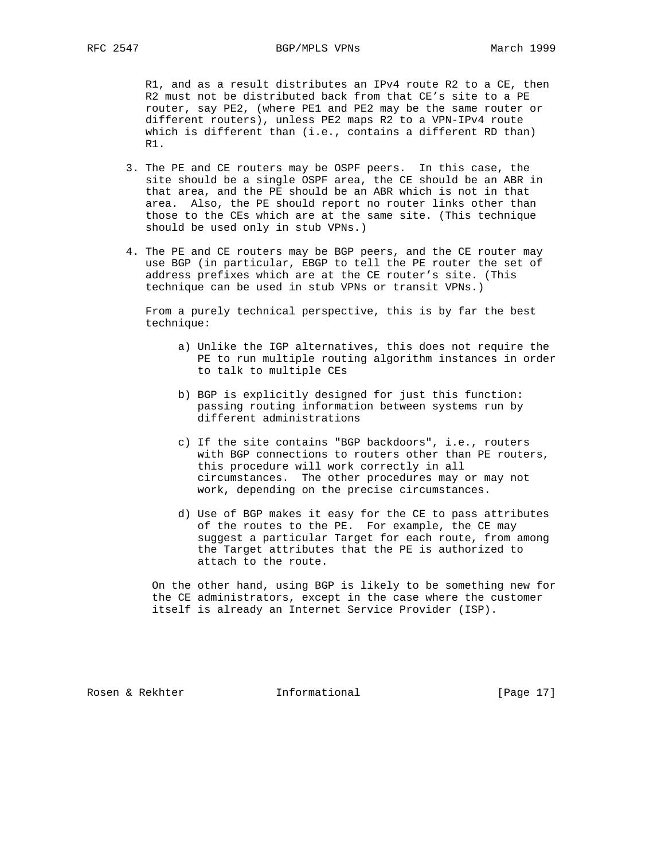R1, and as a result distributes an IPv4 route R2 to a CE, then R2 must not be distributed back from that CE's site to a PE router, say PE2, (where PE1 and PE2 may be the same router or different routers), unless PE2 maps R2 to a VPN-IPv4 route which is different than (i.e., contains a different RD than) R1.

- 3. The PE and CE routers may be OSPF peers. In this case, the site should be a single OSPF area, the CE should be an ABR in that area, and the PE should be an ABR which is not in that area. Also, the PE should report no router links other than those to the CEs which are at the same site. (This technique should be used only in stub VPNs.)
- 4. The PE and CE routers may be BGP peers, and the CE router may use BGP (in particular, EBGP to tell the PE router the set of address prefixes which are at the CE router's site. (This technique can be used in stub VPNs or transit VPNs.)

 From a purely technical perspective, this is by far the best technique:

- a) Unlike the IGP alternatives, this does not require the PE to run multiple routing algorithm instances in order to talk to multiple CEs
- b) BGP is explicitly designed for just this function: passing routing information between systems run by different administrations
- c) If the site contains "BGP backdoors", i.e., routers with BGP connections to routers other than PE routers, this procedure will work correctly in all circumstances. The other procedures may or may not work, depending on the precise circumstances.
- d) Use of BGP makes it easy for the CE to pass attributes of the routes to the PE. For example, the CE may suggest a particular Target for each route, from among the Target attributes that the PE is authorized to attach to the route.

 On the other hand, using BGP is likely to be something new for the CE administrators, except in the case where the customer itself is already an Internet Service Provider (ISP).

Rosen & Rekhter **Informational** [Page 17]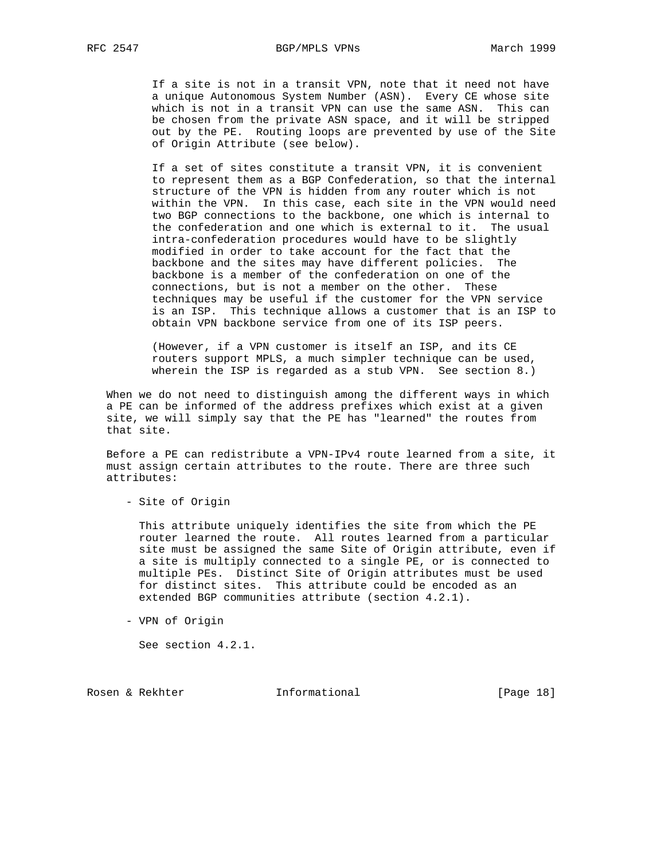If a site is not in a transit VPN, note that it need not have a unique Autonomous System Number (ASN). Every CE whose site which is not in a transit VPN can use the same ASN. This can be chosen from the private ASN space, and it will be stripped out by the PE. Routing loops are prevented by use of the Site of Origin Attribute (see below).

 If a set of sites constitute a transit VPN, it is convenient to represent them as a BGP Confederation, so that the internal structure of the VPN is hidden from any router which is not within the VPN. In this case, each site in the VPN would need two BGP connections to the backbone, one which is internal to the confederation and one which is external to it. The usual intra-confederation procedures would have to be slightly modified in order to take account for the fact that the backbone and the sites may have different policies. The backbone is a member of the confederation on one of the connections, but is not a member on the other. These techniques may be useful if the customer for the VPN service is an ISP. This technique allows a customer that is an ISP to obtain VPN backbone service from one of its ISP peers.

 (However, if a VPN customer is itself an ISP, and its CE routers support MPLS, a much simpler technique can be used, wherein the ISP is regarded as a stub VPN. See section 8.)

 When we do not need to distinguish among the different ways in which a PE can be informed of the address prefixes which exist at a given site, we will simply say that the PE has "learned" the routes from that site.

 Before a PE can redistribute a VPN-IPv4 route learned from a site, it must assign certain attributes to the route. There are three such attributes:

- Site of Origin

 This attribute uniquely identifies the site from which the PE router learned the route. All routes learned from a particular site must be assigned the same Site of Origin attribute, even if a site is multiply connected to a single PE, or is connected to multiple PEs. Distinct Site of Origin attributes must be used for distinct sites. This attribute could be encoded as an extended BGP communities attribute (section 4.2.1).

- VPN of Origin

See section 4.2.1.

Rosen & Rekhter **Informational** [Page 18]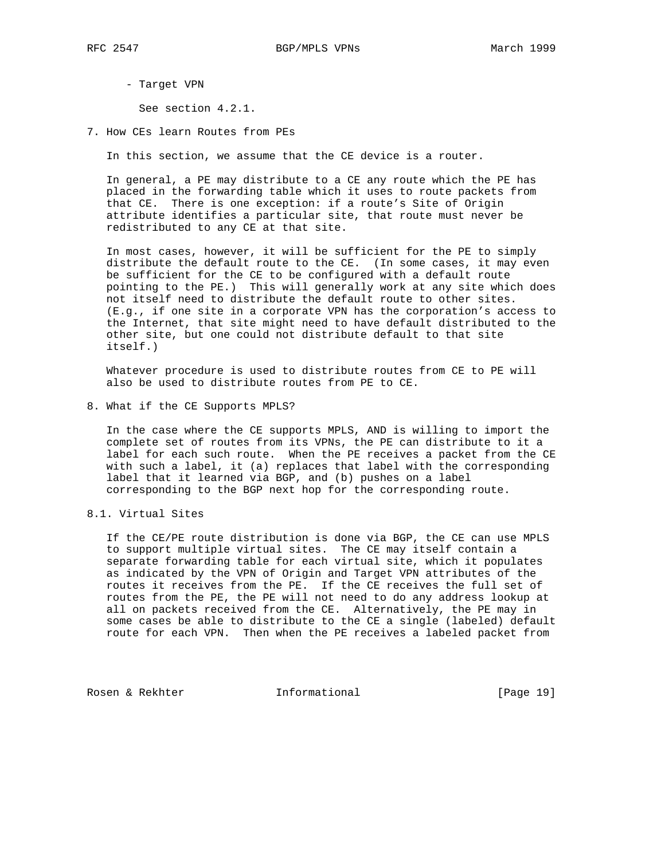- Target VPN

See section 4.2.1.

7. How CEs learn Routes from PEs

In this section, we assume that the CE device is a router.

 In general, a PE may distribute to a CE any route which the PE has placed in the forwarding table which it uses to route packets from that CE. There is one exception: if a route's Site of Origin attribute identifies a particular site, that route must never be redistributed to any CE at that site.

 In most cases, however, it will be sufficient for the PE to simply distribute the default route to the CE. (In some cases, it may even be sufficient for the CE to be configured with a default route pointing to the PE.) This will generally work at any site which does not itself need to distribute the default route to other sites. (E.g., if one site in a corporate VPN has the corporation's access to the Internet, that site might need to have default distributed to the other site, but one could not distribute default to that site itself.)

 Whatever procedure is used to distribute routes from CE to PE will also be used to distribute routes from PE to CE.

8. What if the CE Supports MPLS?

 In the case where the CE supports MPLS, AND is willing to import the complete set of routes from its VPNs, the PE can distribute to it a label for each such route. When the PE receives a packet from the CE with such a label, it (a) replaces that label with the corresponding label that it learned via BGP, and (b) pushes on a label corresponding to the BGP next hop for the corresponding route.

8.1. Virtual Sites

 If the CE/PE route distribution is done via BGP, the CE can use MPLS to support multiple virtual sites. The CE may itself contain a separate forwarding table for each virtual site, which it populates as indicated by the VPN of Origin and Target VPN attributes of the routes it receives from the PE. If the CE receives the full set of routes from the PE, the PE will not need to do any address lookup at all on packets received from the CE. Alternatively, the PE may in some cases be able to distribute to the CE a single (labeled) default route for each VPN. Then when the PE receives a labeled packet from

Rosen & Rekhter **Informational** [Page 19]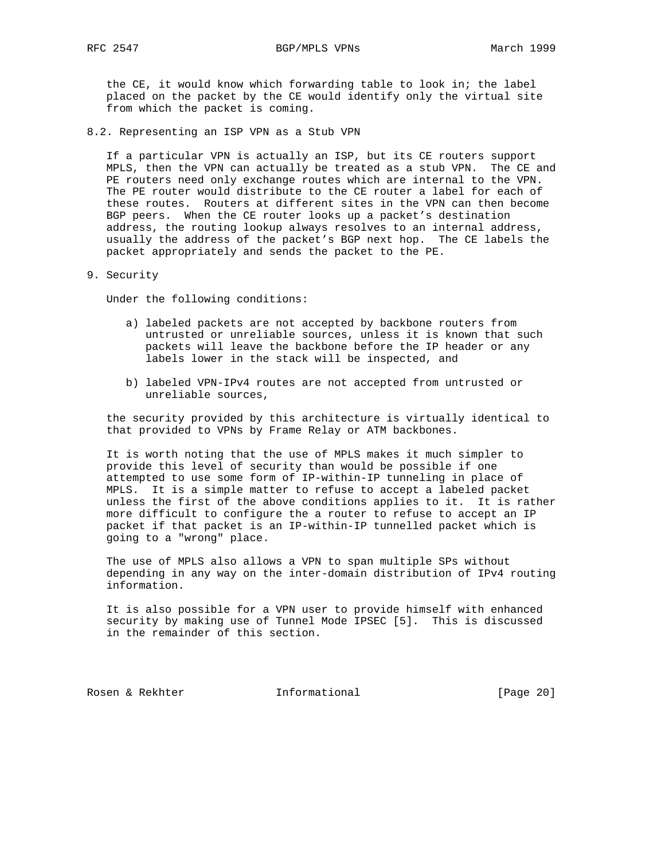the CE, it would know which forwarding table to look in; the label placed on the packet by the CE would identify only the virtual site from which the packet is coming.

8.2. Representing an ISP VPN as a Stub VPN

 If a particular VPN is actually an ISP, but its CE routers support MPLS, then the VPN can actually be treated as a stub VPN. The CE and PE routers need only exchange routes which are internal to the VPN. The PE router would distribute to the CE router a label for each of these routes. Routers at different sites in the VPN can then become BGP peers. When the CE router looks up a packet's destination address, the routing lookup always resolves to an internal address, usually the address of the packet's BGP next hop. The CE labels the packet appropriately and sends the packet to the PE.

9. Security

Under the following conditions:

- a) labeled packets are not accepted by backbone routers from untrusted or unreliable sources, unless it is known that such packets will leave the backbone before the IP header or any labels lower in the stack will be inspected, and
- b) labeled VPN-IPv4 routes are not accepted from untrusted or unreliable sources,

 the security provided by this architecture is virtually identical to that provided to VPNs by Frame Relay or ATM backbones.

 It is worth noting that the use of MPLS makes it much simpler to provide this level of security than would be possible if one attempted to use some form of IP-within-IP tunneling in place of MPLS. It is a simple matter to refuse to accept a labeled packet unless the first of the above conditions applies to it. It is rather more difficult to configure the a router to refuse to accept an IP packet if that packet is an IP-within-IP tunnelled packet which is going to a "wrong" place.

 The use of MPLS also allows a VPN to span multiple SPs without depending in any way on the inter-domain distribution of IPv4 routing information.

 It is also possible for a VPN user to provide himself with enhanced security by making use of Tunnel Mode IPSEC [5]. This is discussed in the remainder of this section.

Rosen & Rekhter **Informational** [Page 20]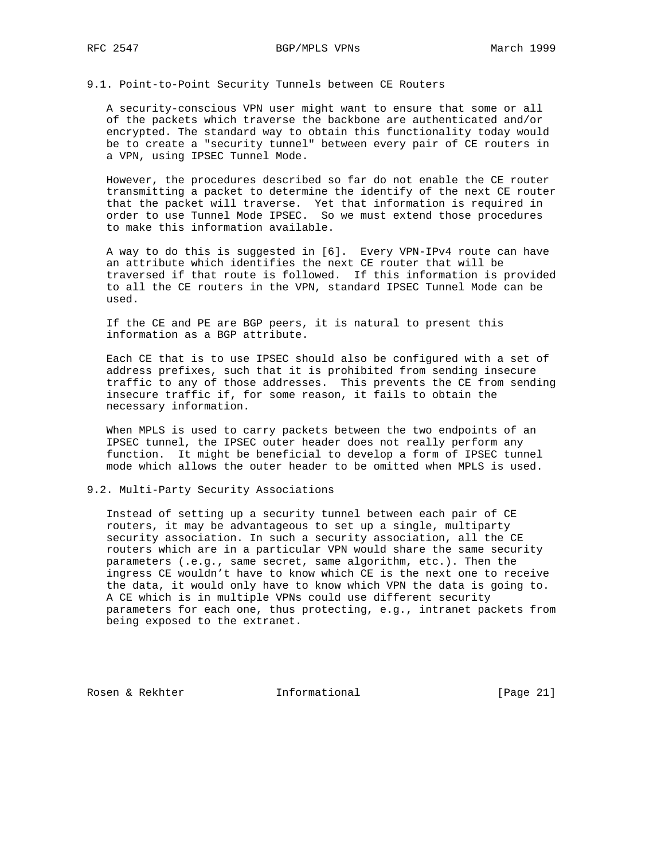9.1. Point-to-Point Security Tunnels between CE Routers

 A security-conscious VPN user might want to ensure that some or all of the packets which traverse the backbone are authenticated and/or encrypted. The standard way to obtain this functionality today would be to create a "security tunnel" between every pair of CE routers in a VPN, using IPSEC Tunnel Mode.

 However, the procedures described so far do not enable the CE router transmitting a packet to determine the identify of the next CE router that the packet will traverse. Yet that information is required in order to use Tunnel Mode IPSEC. So we must extend those procedures to make this information available.

 A way to do this is suggested in [6]. Every VPN-IPv4 route can have an attribute which identifies the next CE router that will be traversed if that route is followed. If this information is provided to all the CE routers in the VPN, standard IPSEC Tunnel Mode can be used.

 If the CE and PE are BGP peers, it is natural to present this information as a BGP attribute.

 Each CE that is to use IPSEC should also be configured with a set of address prefixes, such that it is prohibited from sending insecure traffic to any of those addresses. This prevents the CE from sending insecure traffic if, for some reason, it fails to obtain the necessary information.

 When MPLS is used to carry packets between the two endpoints of an IPSEC tunnel, the IPSEC outer header does not really perform any function. It might be beneficial to develop a form of IPSEC tunnel mode which allows the outer header to be omitted when MPLS is used.

#### 9.2. Multi-Party Security Associations

 Instead of setting up a security tunnel between each pair of CE routers, it may be advantageous to set up a single, multiparty security association. In such a security association, all the CE routers which are in a particular VPN would share the same security parameters (.e.g., same secret, same algorithm, etc.). Then the ingress CE wouldn't have to know which CE is the next one to receive the data, it would only have to know which VPN the data is going to. A CE which is in multiple VPNs could use different security parameters for each one, thus protecting, e.g., intranet packets from being exposed to the extranet.

Rosen & Rekhter **Informational** [Page 21]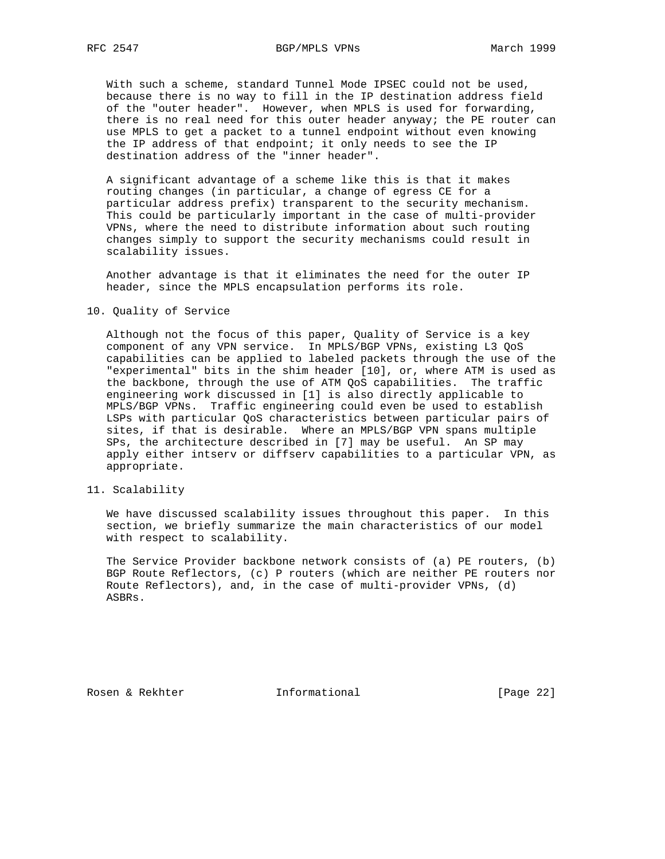With such a scheme, standard Tunnel Mode IPSEC could not be used, because there is no way to fill in the IP destination address field of the "outer header". However, when MPLS is used for forwarding, there is no real need for this outer header anyway; the PE router can use MPLS to get a packet to a tunnel endpoint without even knowing the IP address of that endpoint; it only needs to see the IP destination address of the "inner header".

 A significant advantage of a scheme like this is that it makes routing changes (in particular, a change of egress CE for a particular address prefix) transparent to the security mechanism. This could be particularly important in the case of multi-provider VPNs, where the need to distribute information about such routing changes simply to support the security mechanisms could result in scalability issues.

 Another advantage is that it eliminates the need for the outer IP header, since the MPLS encapsulation performs its role.

10. Quality of Service

 Although not the focus of this paper, Quality of Service is a key component of any VPN service. In MPLS/BGP VPNs, existing L3 QoS capabilities can be applied to labeled packets through the use of the "experimental" bits in the shim header [10], or, where ATM is used as the backbone, through the use of ATM QoS capabilities. The traffic engineering work discussed in [1] is also directly applicable to MPLS/BGP VPNs. Traffic engineering could even be used to establish LSPs with particular QoS characteristics between particular pairs of sites, if that is desirable. Where an MPLS/BGP VPN spans multiple SPs, the architecture described in [7] may be useful. An SP may apply either intserv or diffserv capabilities to a particular VPN, as appropriate.

11. Scalability

 We have discussed scalability issues throughout this paper. In this section, we briefly summarize the main characteristics of our model with respect to scalability.

 The Service Provider backbone network consists of (a) PE routers, (b) BGP Route Reflectors, (c) P routers (which are neither PE routers nor Route Reflectors), and, in the case of multi-provider VPNs, (d) ASBRs.

Rosen & Rekhter **Informational** [Page 22]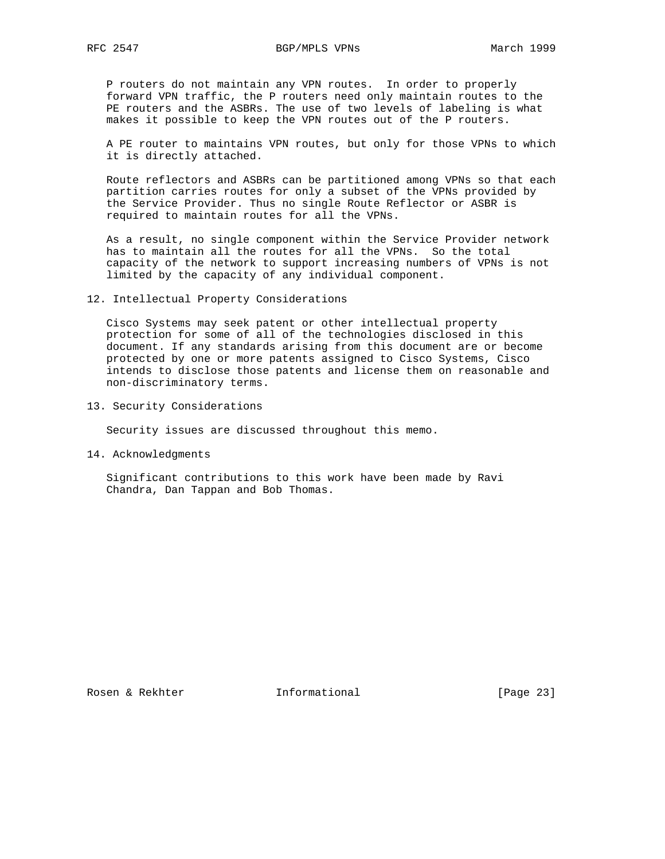P routers do not maintain any VPN routes. In order to properly forward VPN traffic, the P routers need only maintain routes to the PE routers and the ASBRs. The use of two levels of labeling is what makes it possible to keep the VPN routes out of the P routers.

 A PE router to maintains VPN routes, but only for those VPNs to which it is directly attached.

 Route reflectors and ASBRs can be partitioned among VPNs so that each partition carries routes for only a subset of the VPNs provided by the Service Provider. Thus no single Route Reflector or ASBR is required to maintain routes for all the VPNs.

 As a result, no single component within the Service Provider network has to maintain all the routes for all the VPNs. So the total capacity of the network to support increasing numbers of VPNs is not limited by the capacity of any individual component.

12. Intellectual Property Considerations

 Cisco Systems may seek patent or other intellectual property protection for some of all of the technologies disclosed in this document. If any standards arising from this document are or become protected by one or more patents assigned to Cisco Systems, Cisco intends to disclose those patents and license them on reasonable and non-discriminatory terms.

13. Security Considerations

Security issues are discussed throughout this memo.

14. Acknowledgments

 Significant contributions to this work have been made by Ravi Chandra, Dan Tappan and Bob Thomas.

Rosen & Rekhter **Informational** [Page 23]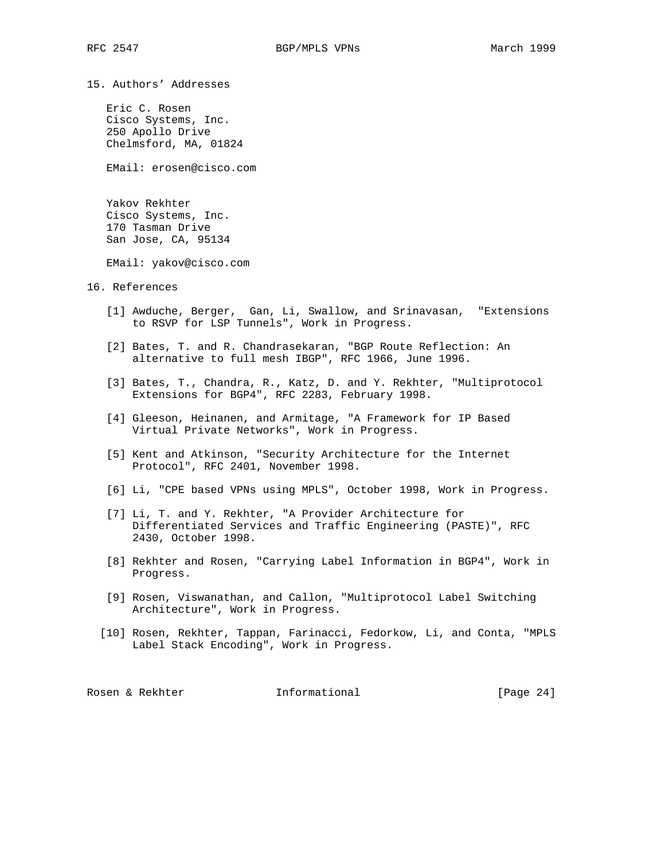15. Authors' Addresses

 Eric C. Rosen Cisco Systems, Inc. 250 Apollo Drive Chelmsford, MA, 01824

EMail: erosen@cisco.com

 Yakov Rekhter Cisco Systems, Inc. 170 Tasman Drive San Jose, CA, 95134

EMail: yakov@cisco.com

16. References

- [1] Awduche, Berger, Gan, Li, Swallow, and Srinavasan, "Extensions to RSVP for LSP Tunnels", Work in Progress.
- [2] Bates, T. and R. Chandrasekaran, "BGP Route Reflection: An alternative to full mesh IBGP", RFC 1966, June 1996.
- [3] Bates, T., Chandra, R., Katz, D. and Y. Rekhter, "Multiprotocol Extensions for BGP4", RFC 2283, February 1998.
- [4] Gleeson, Heinanen, and Armitage, "A Framework for IP Based Virtual Private Networks", Work in Progress.
- [5] Kent and Atkinson, "Security Architecture for the Internet Protocol", RFC 2401, November 1998.
- [6] Li, "CPE based VPNs using MPLS", October 1998, Work in Progress.
- [7] Li, T. and Y. Rekhter, "A Provider Architecture for Differentiated Services and Traffic Engineering (PASTE)", RFC 2430, October 1998.
- [8] Rekhter and Rosen, "Carrying Label Information in BGP4", Work in Progress.
- [9] Rosen, Viswanathan, and Callon, "Multiprotocol Label Switching Architecture", Work in Progress.
- [10] Rosen, Rekhter, Tappan, Farinacci, Fedorkow, Li, and Conta, "MPLS Label Stack Encoding", Work in Progress.

Rosen & Rekhter **Informational** [Page 24]